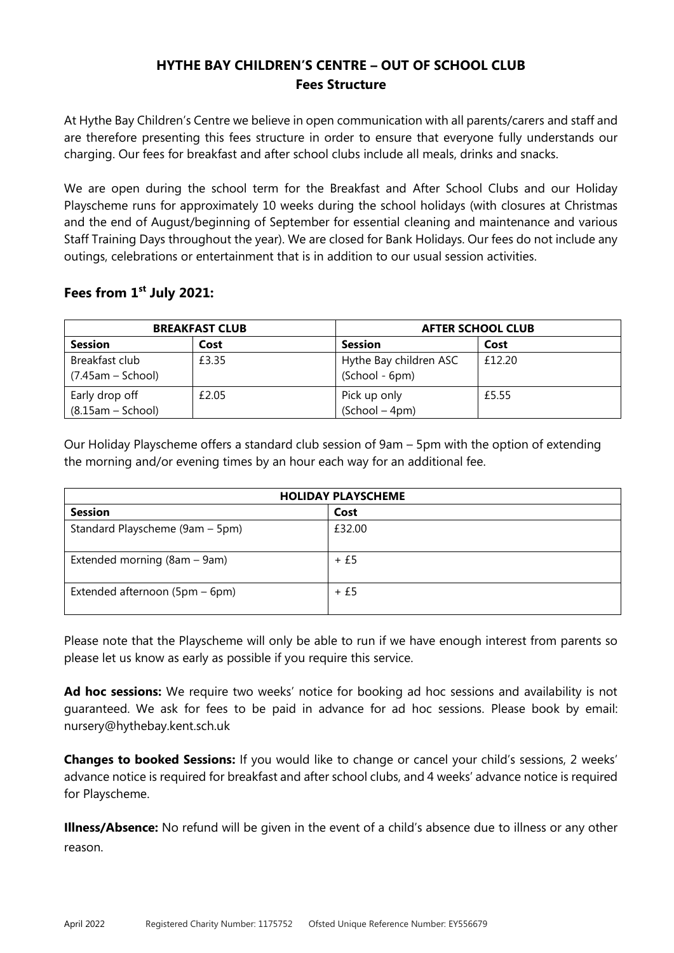## **HYTHE BAY CHILDREN'S CENTRE – OUT OF SCHOOL CLUB Fees Structure**

At Hythe Bay Children's Centre we believe in open communication with all parents/carers and staff and are therefore presenting this fees structure in order to ensure that everyone fully understands our charging. Our fees for breakfast and after school clubs include all meals, drinks and snacks.

We are open during the school term for the Breakfast and After School Clubs and our Holiday Playscheme runs for approximately 10 weeks during the school holidays (with closures at Christmas and the end of August/beginning of September for essential cleaning and maintenance and various Staff Training Days throughout the year). We are closed for Bank Holidays. Our fees do not include any outings, celebrations or entertainment that is in addition to our usual session activities.

## **Fees from 1 st July 2021:**

| <b>BREAKFAST CLUB</b>                 |       | <b>AFTER SCHOOL CLUB</b>                 |        |
|---------------------------------------|-------|------------------------------------------|--------|
| <b>Session</b>                        | Cost  | <b>Session</b>                           | Cost   |
| Breakfast club<br>$(7.45am - School)$ | £3.35 | Hythe Bay children ASC<br>(School - 6pm) | £12.20 |
| Early drop off<br>$(8.15am - School)$ | £2.05 | Pick up only<br>$(School - 4pm)$         | £5.55  |

Our Holiday Playscheme offers a standard club session of 9am – 5pm with the option of extending the morning and/or evening times by an hour each way for an additional fee.

| <b>HOLIDAY PLAYSCHEME</b>       |        |  |
|---------------------------------|--------|--|
| <b>Session</b>                  | Cost   |  |
| Standard Playscheme (9am - 5pm) | £32.00 |  |
| Extended morning (8am – 9am)    | $+£5$  |  |
| Extended afternoon (5pm – 6pm)  | $+£5$  |  |

Please note that the Playscheme will only be able to run if we have enough interest from parents so please let us know as early as possible if you require this service.

Ad hoc sessions: We require two weeks' notice for booking ad hoc sessions and availability is not guaranteed. We ask for fees to be paid in advance for ad hoc sessions. Please book by email: nursery@hythebay.kent.sch.uk

**Changes to booked Sessions:** If you would like to change or cancel your child's sessions, 2 weeks' advance notice is required for breakfast and after school clubs, and 4 weeks' advance notice is required for Playscheme.

**Illness/Absence:** No refund will be given in the event of a child's absence due to illness or any other reason.